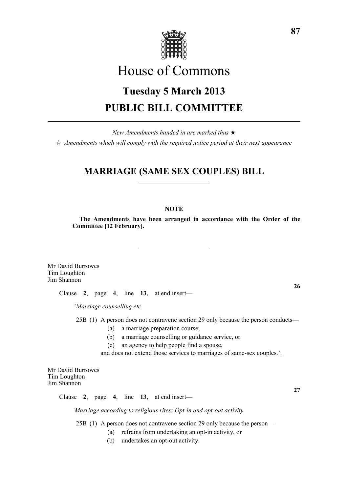

# House of Commons

# **Tuesday 5 March 2013 PUBLIC BILL COMMITTEE**

*New Amendments handed in are marked thus* \*  $\dot{\varphi}$  *Amendments which will comply with the required notice period at their next appearance* 

# **MARRIAGE (SAME SEX COUPLES) BILL**

# **NOTE**

**The Amendments have been arranged in accordance with the Order of the Committee [12 February].**

Mr David Burrowes Tim Loughton Jim Shannon

Clause **2**, page **4**, line **13**, at end insert—

*"Marriage counselling etc.*

25B (1) A person does not contravene section 29 only because the person conducts—

- (a) a marriage preparation course,
- (b) a marriage counselling or guidance service, or
- (c) an agency to help people find a spouse,

and does not extend those services to marriages of same-sex couples.'.

Mr David Burrowes Tim Loughton Jim Shannon

Clause **2**, page **4**, line **13**, at end insert—

*'Marriage according to religious rites: Opt-in and opt-out activity*

25B (1) A person does not contravene section 29 only because the person—

- (a) refrains from undertaking an opt-in activity, or
- (b) undertakes an opt-out activity.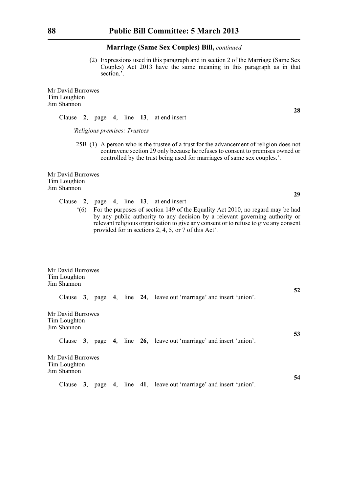(2) Expressions used in this paragraph and in section 2 of the Marriage (Same Sex Couples) Act 2013 have the same meaning in this paragraph as in that section.'.

Mr David Burrowes Tim Loughton Jim Shannon

Clause **2**, page **4**, line **13**, at end insert—

*'Religious premises: Trustees*

25B (1) A person who is the trustee of a trust for the advancement of religion does not contravene section 29 only because he refuses to consent to premises owned or controlled by the trust being used for marriages of same sex couples.'.

Mr David Burrowes Tim Loughton Jim Shannon

- Clause **2**, page **4**, line **13**, at end insert—
	- '(6) For the purposes of section 149 of the Equality Act 2010, no regard may be had by any public authority to any decision by a relevant governing authority or relevant religious organisation to give any consent or to refuse to give any consent provided for in sections 2, 4, 5, or 7 of this Act'.

| Mr David Burrowes<br>Tim Loughton<br>Jim Shannon |  |  |                                                                     |    |
|--------------------------------------------------|--|--|---------------------------------------------------------------------|----|
|                                                  |  |  | Clause 3, page 4, line 24, leave out 'marriage' and insert 'union'. | 52 |
| Mr David Burrowes<br>Tim Loughton<br>Jim Shannon |  |  |                                                                     | 53 |
|                                                  |  |  | Clause 3, page 4, line 26, leave out 'marriage' and insert 'union'. |    |
| Mr David Burrowes<br>Tim Loughton<br>Jim Shannon |  |  |                                                                     |    |
|                                                  |  |  | Clause 3, page 4, line 41, leave out 'marriage' and insert 'union'. | 54 |

**28**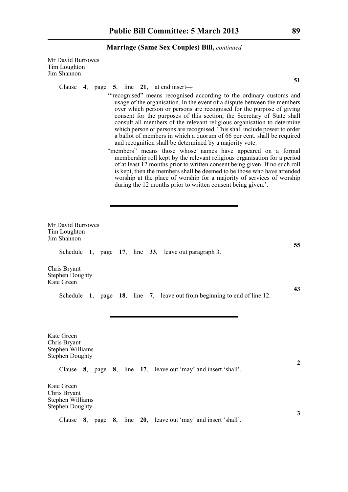Mr David Burrowes Tim Loughton Jim Shannon

Clause **4**, page **5**, line **21**, at end insert—

- '"recognised" means recognised according to the ordinary customs and usage of the organisation. In the event of a dispute between the members over which person or persons are recognised for the purpose of giving consent for the purposes of this section, the Secretary of State shall consult all members of the relevant religious organisation to determine which person or persons are recognised. This shall include power to order a ballot of members in which a quorum of 66 per cent. shall be required and recognition shall be determined by a majority vote.
- "members" means those whose names have appeared on a formal membership roll kept by the relevant religious organisation for a period of at least 12 months prior to written consent being given. If no such roll is kept, then the members shall be deemed to be those who have attended worship at the place of worship for a majority of services of worship during the 12 months prior to written consent being given.'.

| Mr David Burrowes<br>Tim Loughton<br>Jim Shannon                         |  |  |                                                                          |                |
|--------------------------------------------------------------------------|--|--|--------------------------------------------------------------------------|----------------|
|                                                                          |  |  | Schedule 1, page 17, line 33, leave out paragraph 3.                     | 55             |
| Chris Bryant<br><b>Stephen Doughty</b><br>Kate Green                     |  |  |                                                                          |                |
|                                                                          |  |  | Schedule 1, page 18, line 7, leave out from beginning to end of line 12. | 43             |
| Kate Green<br>Chris Bryant<br>Stephen Williams<br><b>Stephen Doughty</b> |  |  | Clause 8, page 8, line 17, leave out 'may' and insert 'shall'.           | $\overline{2}$ |
| Kate Green<br>Chris Bryant<br>Stephen Williams<br><b>Stephen Doughty</b> |  |  |                                                                          | 3              |
|                                                                          |  |  | Clause 8, page 8, line 20, leave out 'may' and insert 'shall'.           |                |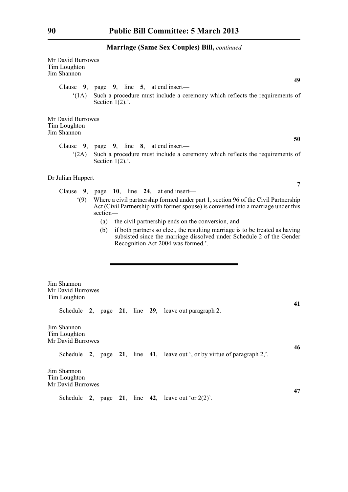| Mr David Burrowes<br>Tim Loughton<br>Jim Shannon                                                                                                                                                                                                                                                                                                                                                                                                                                                            | 49                                                                                                                                                         |  |  |  |  |  |  |  |
|-------------------------------------------------------------------------------------------------------------------------------------------------------------------------------------------------------------------------------------------------------------------------------------------------------------------------------------------------------------------------------------------------------------------------------------------------------------------------------------------------------------|------------------------------------------------------------------------------------------------------------------------------------------------------------|--|--|--|--|--|--|--|
| (1A)                                                                                                                                                                                                                                                                                                                                                                                                                                                                                                        | Clause $9$ , page $9$ , line $5$ , at end insert—<br>Such a procedure must include a ceremony which reflects the requirements of<br>Section $1(2)$ .       |  |  |  |  |  |  |  |
| Mr David Burrowes<br>Tim Loughton<br>Jim Shannon                                                                                                                                                                                                                                                                                                                                                                                                                                                            |                                                                                                                                                            |  |  |  |  |  |  |  |
| (2A)                                                                                                                                                                                                                                                                                                                                                                                                                                                                                                        | 50<br>Clause $9$ , page $9$ , line $8$ , at end insert—<br>Such a procedure must include a ceremony which reflects the requirements of<br>Section $1(2)$ . |  |  |  |  |  |  |  |
| Dr Julian Huppert                                                                                                                                                                                                                                                                                                                                                                                                                                                                                           | 7                                                                                                                                                          |  |  |  |  |  |  |  |
| Clause 9, page 10, line 24, at end insert—<br>Where a civil partnership formed under part 1, section 96 of the Civil Partnership<br>(9)<br>Act (Civil Partnership with former spouse) is converted into a marriage under this<br>section-<br>the civil partnership ends on the conversion, and<br>(a)<br>if both partners so elect, the resulting marriage is to be treated as having<br>(b)<br>subsisted since the marriage dissolved under Schedule 2 of the Gender<br>Recognition Act 2004 was formed.'. |                                                                                                                                                            |  |  |  |  |  |  |  |
| Jim Shannon<br>Tim Loughton                                                                                                                                                                                                                                                                                                                                                                                                                                                                                 | Mr David Burrowes                                                                                                                                          |  |  |  |  |  |  |  |
|                                                                                                                                                                                                                                                                                                                                                                                                                                                                                                             | 41<br>Schedule 2, page 21, line 29, leave out paragraph 2.                                                                                                 |  |  |  |  |  |  |  |
| Jim Shannon<br>Tim Loughton<br>Mr David Burrowes                                                                                                                                                                                                                                                                                                                                                                                                                                                            |                                                                                                                                                            |  |  |  |  |  |  |  |
|                                                                                                                                                                                                                                                                                                                                                                                                                                                                                                             | 46<br>Schedule 2, page 21, line 41, leave out ', or by virtue of paragraph 2,'.                                                                            |  |  |  |  |  |  |  |
| Jim Shannon<br>Tim Loughton                                                                                                                                                                                                                                                                                                                                                                                                                                                                                 | Mr David Burrowes                                                                                                                                          |  |  |  |  |  |  |  |
|                                                                                                                                                                                                                                                                                                                                                                                                                                                                                                             | 47<br>Schedule 2, page 21, line 42, leave out 'or $2(2)$ '.                                                                                                |  |  |  |  |  |  |  |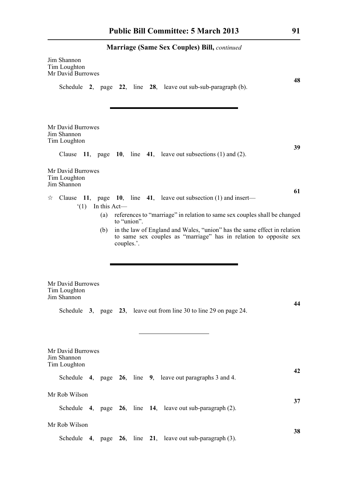|                                                                                                                                                      | Jim Shannon<br>Tim Loughton<br>Mr David Burrowes<br>48<br>Schedule $2$ , page $22$ , line $28$ , leave out sub-sub-paragraph (b).                                                                                                                                     |  |                    |  |  |  |                                                                              |    |
|------------------------------------------------------------------------------------------------------------------------------------------------------|-----------------------------------------------------------------------------------------------------------------------------------------------------------------------------------------------------------------------------------------------------------------------|--|--------------------|--|--|--|------------------------------------------------------------------------------|----|
|                                                                                                                                                      | Mr David Burrowes<br>Jim Shannon<br>Tim Loughton<br>Mr David Burrowes                                                                                                                                                                                                 |  |                    |  |  |  | Clause $11$ , page $10$ , line $41$ , leave out subsections (1) and (2).     | 39 |
|                                                                                                                                                      | Tim Loughton<br>Jim Shannon                                                                                                                                                                                                                                           |  |                    |  |  |  | 61                                                                           |    |
| ☆                                                                                                                                                    |                                                                                                                                                                                                                                                                       |  | $(1)$ In this Act— |  |  |  | Clause 11, page 10, line 41, leave out subsection $(1)$ and insert—          |    |
|                                                                                                                                                      | references to "marriage" in relation to same sex couples shall be changed<br>(a)<br>to "union".<br>in the law of England and Wales, "union" has the same effect in relation<br>(b)<br>to same sex couples as "marriage" has in relation to opposite sex<br>couples.'. |  |                    |  |  |  |                                                                              |    |
| Mr David Burrowes<br>Tim Loughton<br>Jim Shannon<br>44<br>3, page 23, leave out from line 30 to line 29 on page 24.<br>Schedule<br>Mr David Burrowes |                                                                                                                                                                                                                                                                       |  |                    |  |  |  |                                                                              |    |
|                                                                                                                                                      | Jim Shannon<br>Tim Loughton                                                                                                                                                                                                                                           |  |                    |  |  |  | 42                                                                           |    |
|                                                                                                                                                      |                                                                                                                                                                                                                                                                       |  |                    |  |  |  | Schedule 4, page 26, line 9, leave out paragraphs 3 and 4.                   |    |
|                                                                                                                                                      | Mr Rob Wilson                                                                                                                                                                                                                                                         |  |                    |  |  |  | 37<br>Schedule $4$ , page $26$ , line $14$ , leave out sub-paragraph (2).    |    |
|                                                                                                                                                      | Mr Rob Wilson                                                                                                                                                                                                                                                         |  |                    |  |  |  | 38<br>Schedule $4$ , page $26$ , line $21$ , leave out sub-paragraph $(3)$ . |    |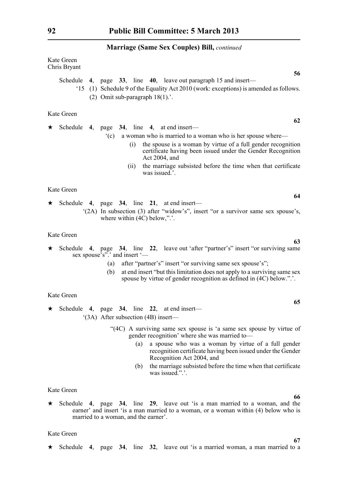|         | Kate Green<br>Chris Bryant                                                                                                                                                                                                                                                                                                                                                     |  |
|---------|--------------------------------------------------------------------------------------------------------------------------------------------------------------------------------------------------------------------------------------------------------------------------------------------------------------------------------------------------------------------------------|--|
|         | 56<br>Schedule 4, page $33$ , line 40, leave out paragraph 15 and insert—<br>(1) Schedule 9 of the Equality Act 2010 (work: exceptions) is amended as follows.<br>(2) Omit sub-paragraph $18(1)$ .'.                                                                                                                                                                           |  |
|         | Kate Green<br>62                                                                                                                                                                                                                                                                                                                                                               |  |
| $\star$ | Schedule 4, page $34$ , line 4, at end insert—<br>a woman who is married to a woman who is her spouse where—<br>$^{\circ}$ (c)<br>the spouse is a woman by virtue of a full gender recognition<br>(i)<br>certificate having been issued under the Gender Recognition<br>Act 2004, and<br>the marriage subsisted before the time when that certificate<br>(ii)<br>was issued.'. |  |
|         | Kate Green                                                                                                                                                                                                                                                                                                                                                                     |  |
| $\star$ | 64<br>Schedule 4, page $34$ , line $21$ , at end insert—<br>"(2A) In subsection (3) after "widow's", insert "or a survivor same sex spouse's,<br>where within $(4C)$ below,".'.                                                                                                                                                                                                |  |
|         | Kate Green                                                                                                                                                                                                                                                                                                                                                                     |  |
| $\star$ | 63<br>Schedule 4, page 34, line 22, leave out 'after "partner's" insert "or surviving same<br>sex spouse's".' and insert '—<br>after "partner's" insert "or surviving same sex spouse's";<br>(a)                                                                                                                                                                               |  |
|         | $\langle \cdot   \cdot \rangle$ at and in each Greek this limitation, does not supply to a sympatric span open                                                                                                                                                                                                                                                                 |  |

(b) at end insert "but this limitation does not apply to a surviving same sex spouse by virtue of gender recognition as defined in (4C) below.".'.

Kate Green

- \* Schedule **4**, page **34**, line **22**, at end insert— '(3A) After subsection (4B) insert—
	- "(4C) A surviving same sex spouse is 'a same sex spouse by virtue of gender recognition' where she was married to—
		- (a) a spouse who was a woman by virtue of a full gender recognition certificate having been issued under the Gender Recognition Act 2004, and
		- (b) the marriage subsisted before the time when that certificate was issued.".'.

Kate Green

\* Schedule **4**, page **34**, line **29**, leave out 'is a man married to a woman, and the earner' and insert 'is a man married to a woman, or a woman within (4) below who is married to a woman, and the earner'.

Kate Green

\* Schedule **4**, page **34**, line **32**, leave out 'is a married woman, a man married to a

# **62**

**66**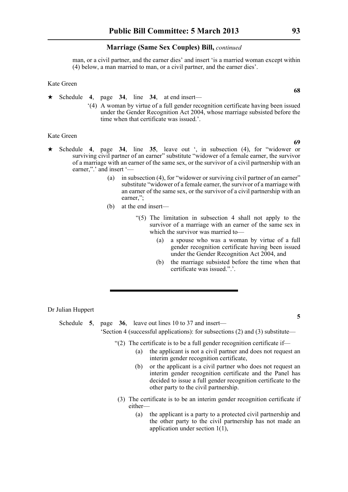man, or a civil partner, and the earner dies' and insert 'is a married woman except within (4) below, a man married to man, or a civil partner, and the earner dies'.

Kate Green

- \* Schedule **4**, page **34**, line **34**, at end insert—
	- '(4) A woman by virtue of a full gender recognition certificate having been issued under the Gender Recognition Act 2004, whose marriage subsisted before the time when that certificate was issued.'.

#### Kate Green

- Schedule **4**, page **34**, line **35**, leave out ', in subsection (4), for "widower or surviving civil partner of an earner" substitute "widower of a female earner, the survivor of a marriage with an earner of the same sex, or the survivor of a civil partnership with an earner,".' and insert '-
	- (a) in subsection (4), for "widower or surviving civil partner of an earner" substitute "widower of a female earner, the survivor of a marriage with an earner of the same sex, or the survivor of a civil partnership with an earner,";
	- (b) at the end insert—
		- "(5) The limitation in subsection 4 shall not apply to the survivor of a marriage with an earner of the same sex in which the survivor was married to—
			- (a) a spouse who was a woman by virtue of a full gender recognition certificate having been issued under the Gender Recognition Act 2004, and
			- (b) the marriage subsisted before the time when that certificate was issued.".'.

Dr Julian Huppert

Schedule **5**, page **36**, leave out lines 10 to 37 and insert— 'Section 4 (successful applications): for subsections (2) and (3) substitute—

- "(2) The certificate is to be a full gender recognition certificate if—
	- (a) the applicant is not a civil partner and does not request an interim gender recognition certificate,
	- (b) or the applicant is a civil partner who does not request an interim gender recognition certificate and the Panel has decided to issue a full gender recognition certificate to the other party to the civil partnership.
- (3) The certificate is to be an interim gender recognition certificate if either—
	- (a) the applicant is a party to a protected civil partnership and the other party to the civil partnership has not made an application under section 1(1),

**69**

**68**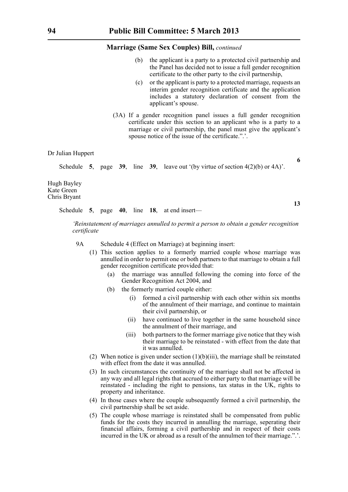- (b) the applicant is a party to a protected civil partnership and the Panel has decided not to issue a full gender recognition certificate to the other party to the civil partnership,
- (c) or the applicant is party to a protected marriage, requests an interim gender recognition certificate and the application includes a statutory declaration of consent from the applicant's spouse.
- (3A) If a gender recognition panel issues a full gender recognition certificate under this section to an applicant who is a party to a marriage or civil partnership, the panel must give the applicant's spouse notice of the issue of the certificate.".'.

#### Dr Julian Huppert

Schedule **5**, page **39**, line **39**, leave out '(by virtue of section  $4(2)(b)$  or  $4A$ )'.

Hugh Bayley Kate Green Chris Bryant

Schedule **5**, page **40**, line **18**, at end insert—

*'Reinstatement of marriages annulled to permit a person to obtain a gender recognition certificate*

- 9A Schedule 4 (Effect on Marriage) at beginning insert:
	- (1) This section applies to a formerly married couple whose marriage was annulled in order to permit one or both partners to that marriage to obtain a full gender recognition certificate provided that:
		- (a) the marriage was annulled following the coming into force of the Gender Recognition Act 2004, and
		- (b) the formerly married couple either:
			- (i) formed a civil partnership with each other within six months of the annulment of their marriage, and continue to maintain their civil partnership, or
			- (ii) have continued to live together in the same household since the annulment of their marriage, and
			- (iii) both partners to the former marriage give notice that they wish their marriage to be reinstated - with effect from the date that it was annulled.
	- (2) When notice is given under section  $(1)(b)(iii)$ , the marriage shall be reinstated with effect from the date it was annulled.
	- (3) In such circumstances the continuity of the marriage shall not be affected in any way and all legal rights that accrued to either party to that marriage will be reinstated - including the right to pensions, tax status in the UK, rights to property and inheritance.
	- (4) In those cases where the couple subsequently formed a civil partnership, the civil partnership shall be set aside.
	- (5) The couple whose marriage is reinstated shall be compensated from public funds for the costs they incurred in annulling the marriage, seperating their financial affairs, forming a civil parthership and in respect of their costs incurred in the UK or abroad as a result of the annulmen tof their marriage.".'.

**6**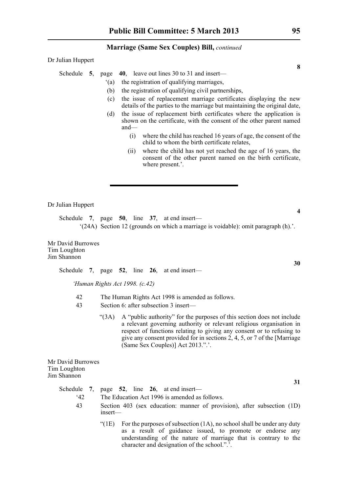Dr Julian Huppert

#### Schedule **5**, page **40**, leave out lines 30 to 31 and insert—

- '(a) the registration of qualifying marriages,
- (b) the registration of qualifying civil partnerships,
- (c) the issue of replacement marriage certificates displaying the new details of the parties to the marriage but maintaining the original date,
- (d) the issue of replacement birth certificates where the application is shown on the certificate, with the consent of the other parent named and—
	- (i) where the child has reached 16 years of age, the consent of the child to whom the birth certificate relates,
	- (ii) where the child has not yet reached the age of 16 years, the consent of the other parent named on the birth certificate, where present.'.

Dr Julian Huppert

Schedule **7**, page **50**, line **37**, at end insert— '(24A) Section 12 (grounds on which a marriage is voidable): omit paragraph (h).'.

Mr David Burrowes Tim Loughton Jim Shannon

Schedule **7**, page **52**, line **26**, at end insert—

*'Human Rights Act 1998. (c.42)*

- 42 The Human Rights Act 1998 is amended as follows.
- 43 Section 6: after subsection 3 insert—
	- "(3A) A "public authority" for the purposes of this section does not include a relevant governing authority or relevant religious organisation in respect of functions relating to giving any consent or to refusing to give any consent provided for in sections 2, 4, 5, or 7 of the [Marriage (Same Sex Couples)] Act 2013.".'.

Mr David Burrowes Tim Loughton Jim Shannon

> Schedule **7**, page **52**, line **26**, at end insert— '42 The Education Act 1996 is amended as follows.

- 43 Section 403 (sex education: manner of provision), after subsection (1D) insert—
	- "( $1E$ ) For the purposes of subsection  $(1A)$ , no school shall be under any duty as a result of guidance issued, to promote or endorse any understanding of the nature of marriage that is contrary to the character and designation of the school.".'.

**8**

**30**

**4**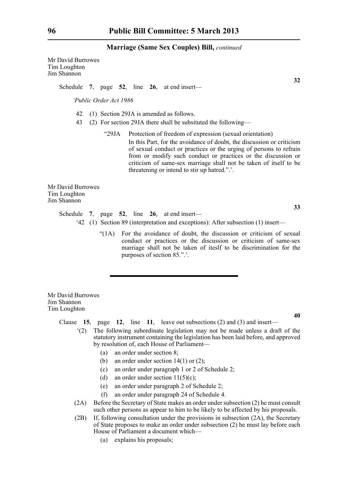Mr David Burrowes Tim Loughton Jim Shannon

Schedule **7**, page **52**, line **26**, at end insert—

*'Public Order Act 1986*

- 42 (1) Section 29JA is amended as follows.
- 43 (2) For section 29JA there shall be subsituted the following—
	- "29JA Protection of freedom of expression (sexual orientation) In this Part, for the avoidance of doubt, the discussion or criticism of sexual conduct or practices or the urging of persons to refrain from or modify such conduct or practices or the discussion or criticism of same-sex marriage shall not be taken of itself to be threatening or intend to stir up hatred.".'.

Mr David Burrowes Tim Loughton Jim Shannon

> Schedule **7**, page **52**, line **26**, at end insert— '42 (1) Section 89 (interpretation and exceptions): After subsection (1) insert—

> > "(1A) For the avoidance of doubt, the discussion or criticism of sexual conduct or practices or the discussion or criticism of same-sex marriage shall not be taken of iteslf to be discrimination for the purposes of section 85.".'.

Mr David Burrowes Jim Shannon Tim Loughton

Clause **15**, page **12**, line **11**, leave out subsections (2) and (3) and insert—

- '(2) The following subordinate legislation may not be made unless a draft of the statutory instrument containing the legislation has been laid before, and approved by resolution of, each House of Parliament—
	- (a) an order under section 8;
	- (b) an order under section  $14(1)$  or  $(2)$ ;
	- (c) an order under paragraph 1 or 2 of Schedule 2;
	- (d) an order under section  $11(5)(c)$ ;
	- (e) an order under paragraph 2 of Schedule 2;
	- (f) an order under paragraph 24 of Schedule 4.
- (2A) Before the Secretary of State makes an order under subsection (2) he must consult such other persons as appear to him to be likely to be affected by his proposals.
- (2B) If, following consultation under the provisions in subsection (2A), the Secretary of State proposes to make an order under subsection (2) he must lay before each House of Parliament a document which—
	- (a) explains his proposals;

**32**

**40**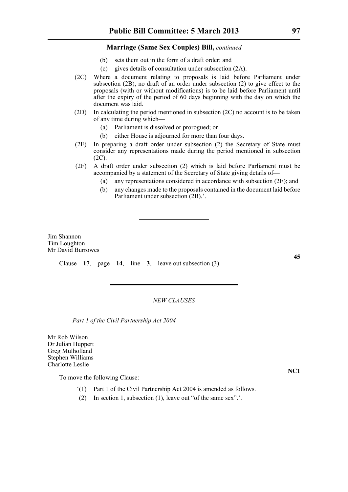- (b) sets them out in the form of a draft order; and
- (c) gives details of consultation under subsection (2A).
- (2C) Where a document relating to proposals is laid before Parliament under subsection (2B), no draft of an order under subsection (2) to give effect to the proposals (with or without modifications) is to be laid before Parliament until after the expiry of the period of 60 days beginning with the day on which the document was laid.
- (2D) In calculating the period mentioned in subsection (2C) no account is to be taken of any time during which—
	- (a) Parliament is dissolved or prorogued; or
	- (b) either House is adjourned for more than four days.
- (2E) In preparing a draft order under subsection (2) the Secretary of State must consider any representations made during the period mentioned in subsection (2C).
- (2F) A draft order under subsection (2) which is laid before Parliament must be accompanied by a statement of the Secretary of State giving details of—
	- (a) any representations considered in accordance with subsection (2E); and
	- (b) any changes made to the proposals contained in the document laid before Parliament under subsection (2B).'.

Jim Shannon Tim Loughton Mr David Burrowes

Clause **17**, page **14**, line **3**, leave out subsection (3).

# *NEW CLAUSES*

*Part 1 of the Civil Partnership Act 2004*

Mr Rob Wilson Dr Julian Huppert Greg Mulholland Stephen Williams Charlotte Leslie

**NC1**

- To move the following Clause:—
	- '(1) Part 1 of the Civil Partnership Act 2004 is amended as follows.
	- (2) In section 1, subsection (1), leave out "of the same sex".'.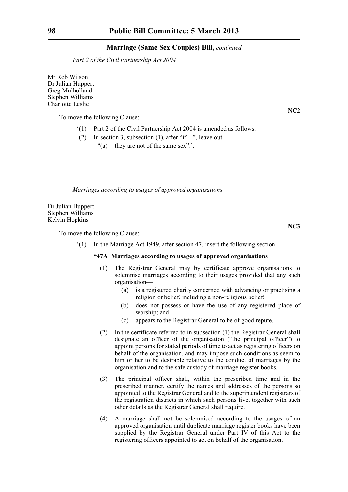*Part 2 of the Civil Partnership Act 2004*

Mr Rob Wilson Dr Julian Huppert Greg Mulholland Stephen Williams Charlotte Leslie

To move the following Clause:—

- '(1) Part 2 of the Civil Partnership Act 2004 is amended as follows.
- (2) In section 3, subsection (1), after "if—", leave out—
	- "(a) they are not of the same sex".'.

*Marriages according to usages of approved organisations*

Dr Julian Huppert Stephen Williams Kelvin Hopkins

To move the following Clause:—

'(1) In the Marriage Act 1949, after section 47, insert the following section—

# **"47A Marriages according to usages of approved organisations**

- (1) The Registrar General may by certificate approve organisations to solemnise marriages according to their usages provided that any such organisation—
	- (a) is a registered charity concerned with advancing or practising a religion or belief, including a non-religious belief;
	- (b) does not possess or have the use of any registered place of worship; and
	- (c) appears to the Registrar General to be of good repute.
- (2) In the certificate referred to in subsection (1) the Registrar General shall designate an officer of the organisation ("the principal officer") to appoint persons for stated periods of time to act as registering officers on behalf of the organisation, and may impose such conditions as seem to him or her to be desirable relative to the conduct of marriages by the organisation and to the safe custody of marriage register books.
- (3) The principal officer shall, within the prescribed time and in the prescribed manner, certify the names and addresses of the persons so appointed to the Registrar General and to the superintendent registrars of the registration districts in which such persons live, together with such other details as the Registrar General shall require.
- (4) A marriage shall not be solemnised according to the usages of an approved organisation until duplicate marriage register books have been supplied by the Registrar General under Part IV of this Act to the registering officers appointed to act on behalf of the organisation.

**NC2**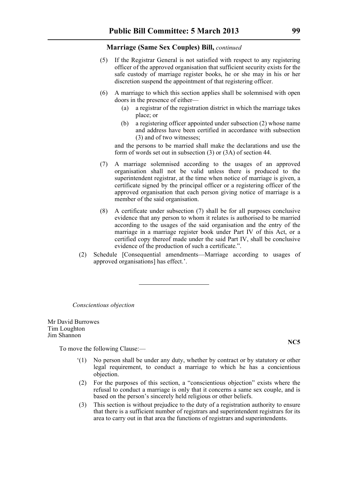- (5) If the Registrar General is not satisfied with respect to any registering officer of the approved organisation that sufficient security exists for the safe custody of marriage register books, he or she may in his or her discretion suspend the appointment of that registering officer.
- (6) A marriage to which this section applies shall be solemnised with open doors in the presence of either—
	- (a) a registrar of the registration district in which the marriage takes place; or
	- (b) a registering officer appointed under subsection (2) whose name and address have been certified in accordance with subsection (3) and of two witnesses;

and the persons to be married shall make the declarations and use the form of words set out in subsection (3) or (3A) of section 44.

- (7) A marriage solemnised according to the usages of an approved organisation shall not be valid unless there is produced to the superintendent registrar, at the time when notice of marriage is given, a certificate signed by the principal officer or a registering officer of the approved organisation that each person giving notice of marriage is a member of the said organisation.
- (8) A certificate under subsection (7) shall be for all purposes conclusive evidence that any person to whom it relates is authorised to be married according to the usages of the said organisation and the entry of the marriage in a marriage register book under Part IV of this Act, or a certified copy thereof made under the said Part IV, shall be conclusive evidence of the production of such a certificate.".
- (2) Schedule [Consequential amendments—Marriage according to usages of approved organisations] has effect.'.

*Conscientious objection*

Mr David Burrowes Tim Loughton Jim Shannon

To move the following Clause:—

- '(1) No person shall be under any duty, whether by contract or by statutory or other legal requirement, to conduct a marriage to which he has a concientious objection.
- (2) For the purposes of this section, a "conscientious objection" exists where the refusal to conduct a marriage is only that it concerns a same sex couple, and is based on the person's sincerely held religious or other beliefs.
- (3) This section is without prejudice to the duty of a registration authority to ensure that there is a sufficient number of registrars and superintendent registrars for its area to carry out in that area the functions of registrars and superintendents.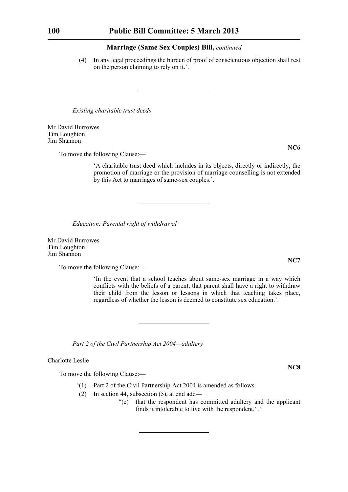(4) In any legal proceedings the burden of proof of conscientious objection shall rest on the person claiming to rely on it.'.

*Existing charitable trust deeds*

Mr David Burrowes Tim Loughton Jim Shannon

**NC6**

To move the following Clause:—

'A charitable trust deed which includes in its objects, directly or indirectly, the promotion of marriage or the provision of marriage counselling is not extended by this Act to marriages of same-sex couples.'.

*Education: Parental right of withdrawal*

Mr David Burrowes Tim Loughton Jim Shannon

To move the following Clause:—

'In the event that a school teaches about same-sex marriage in a way which conflicts with the beliefs of a parent, that parent shall have a right to withdraw their child from the lesson or lessons in which that teaching takes place, regardless of whether the lesson is deemed to constitute sex education.'.

*Part 2 of the Civil Partnership Act 2004—adultery*

Charlotte Leslie

To move the following Clause:—

- '(1) Part 2 of the Civil Partnership Act 2004 is amended as follows.
- (2) In section 44, subsection (5), at end add—
	- "(e) that the respondent has committed adultery and the applicant finds it intolerable to live with the respondent.".'.

**NC7**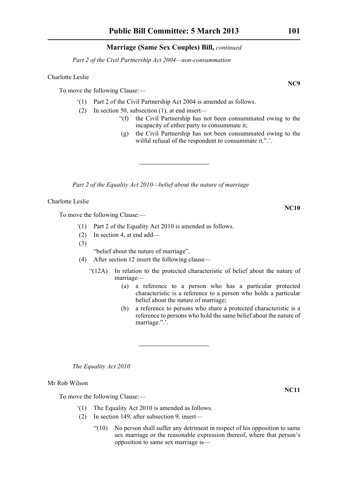*Part 2 of the Civil Partnership Act 2004—non-consummation*

# Charlotte Leslie

To move the following Clause:—

- '(1) Part 2 of the Civil Partnership Act 2004 is amended as follows.
- (2) In section 50, subsection (1), at end insert—
	- "(f) the Civil Partnership has not been consummated owing to the incapacity of either party to consummate it;
	- (g) the Civil Partnership has not been consummated owing to the wilful refusal of the respondent to consummate it.".'.

*Part 2 of the Equality Act 2010—belief about the nature of marriage*

Charlotte Leslie

To move the following Clause:—

- '(1) Part 2 of the Equality Act 2010 is amended as follows.
- (2) In section 4, at end add—
- (3)

"belief about the nature of marriage".

- (4) After section 12 insert the following clause—
	- "(12A) In relation to the protected characteristic of belief about the nature of marriage—
		- (a) a reference to a person who has a particular protected characteristic is a reference to a person who holds a particular belief about the nature of marriage;
		- (b) a reference to persons who share a protected characteristic is a reference to persons who hold the same belief about the nature of marriage.".'.

*The Equality Act 2010*

Mr Rob Wilson

To move the following Clause:—

- '(1) The Equality Act 2010 is amended as follows.
- (2) In section 149, after subsection 9, insert—
	- "(10) No person shall suffer any detriment in respect of his opposition to same sex marriage or the reasonable expression thereof, where that person's opposition to same sex marriage is—

**NC9**

**NC10**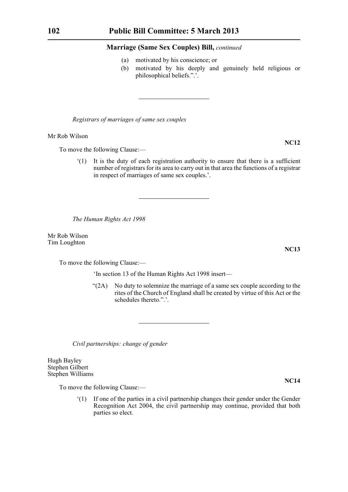- (a) motivated by his conscience; or
- (b) motivated by his deeply and genuinely held religious or philosophical beliefs.".'.

*Registrars of marriages of same sex couples*

Mr Rob Wilson

To move the following Clause:—

'(1) It is the duty of each registration authority to ensure that there is a sufficient number of registrars for its area to carry out in that area the functions of a registrar in respect of marriages of same sex couples.'.

*The Human Rights Act 1998*

Mr Rob Wilson Tim Loughton

To move the following Clause:—

'In section 13 of the Human Rights Act 1998 insert—

"(2A) No duty to solemnize the marriage of a same sex couple according to the rites of the Church of England shall be created by virtue of this Act or the schedules thereto.".'.

*Civil partnerships: change of gender*

Hugh Bayley Stephen Gilbert Stephen Williams

To move the following Clause:—

'(1) If one of the parties in a civil partnership changes their gender under the Gender Recognition Act 2004, the civil partnership may continue, provided that both parties so elect.

**NC12**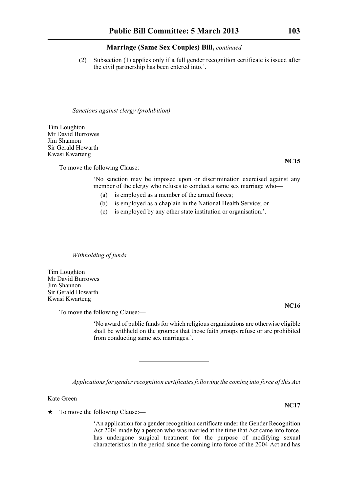(2) Subsection (1) applies only if a full gender recognition certificate is issued after the civil partnership has been entered into.'.

*Sanctions against clergy (prohibition)*

Tim Loughton Mr David Burrowes Jim Shannon Sir Gerald Howarth Kwasi Kwarteng

To move the following Clause:—

'No sanction may be imposed upon or discrimination exercised against any member of the clergy who refuses to conduct a same sex marriage who—

- (a) is employed as a member of the armed forces;
- (b) is employed as a chaplain in the National Health Service; or
- (c) is employed by any other state institution or organisation.'.

*Withholding of funds*

Tim Loughton Mr David Burrowes Jim Shannon Sir Gerald Howarth Kwasi Kwarteng

To move the following Clause:—

'No award of public funds for which religious organisations are otherwise eligible shall be withheld on the grounds that those faith groups refuse or are prohibited from conducting same sex marriages.'.

*Applications for gender recognition certificates following the coming into force of this Act*

Kate Green

 $\star$  To move the following Clause:—

'An application for a gender recognition certificate under the Gender Recognition Act 2004 made by a person who was married at the time that Act came into force, has undergone surgical treatment for the purpose of modifying sexual characteristics in the period since the coming into force of the 2004 Act and has

**NC15**

**NC16**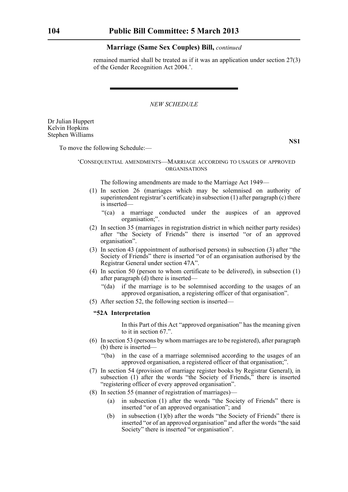remained married shall be treated as if it was an application under section 27(3) of the Gender Recognition Act 2004.'.

*NEW SCHEDULE*

Dr Julian Huppert Kelvin Hopkins Stephen Williams

**NS1**

To move the following Schedule:—

# 'CONSEQUENTIAL AMENDMENTS—MARRIAGE ACCORDING TO USAGES OF APPROVED ORGANISATIONS

The following amendments are made to the Marriage Act 1949—

- (1) In section 26 (marriages which may be solemnised on authority of superintendent registrar's certificate) in subsection (1) after paragraph (c) there is inserted—
	- "(ca) a marriage conducted under the auspices of an approved organisation;".
- (2) In section 35 (marriages in registration district in which neither party resides) after "the Society of Friends" there is inserted "or of an approved organisation".
- (3) In section 43 (appointment of authorised persons) in subsection (3) after "the Society of Friends" there is inserted "or of an organisation authorised by the Registrar General under section 47A".
- (4) In section 50 (person to whom certificate to be delivered), in subsection (1) after paragraph (d) there is inserted—
	- "(da) if the marriage is to be solemnised according to the usages of an approved organisation, a registering officer of that organisation".
- (5) After section 52, the following section is inserted—

#### **"52A Interpretation**

In this Part of this Act "approved organisation" has the meaning given to it in section 67.".

- (6) In section 53 (persons by whom marriages are to be registered), after paragraph (b) there is inserted—
	- "(ba) in the case of a marriage solemnised according to the usages of an approved organisation, a registered officer of that organisation;".
- (7) In section 54 (provision of marriage register books by Registrar General), in subsection (1) after the words "the Society of Friends," there is inserted "registering officer of every approved organisation".
- (8) In section 55 (manner of registration of marriages)—
	- (a) in subsection (1) after the words "the Society of Friends" there is inserted "or of an approved organisation"; and
	- (b) in subsection (1)(b) after the words "the Society of Friends" there is inserted "or of an approved organisation" and after the words "the said Society" there is inserted "or organisation".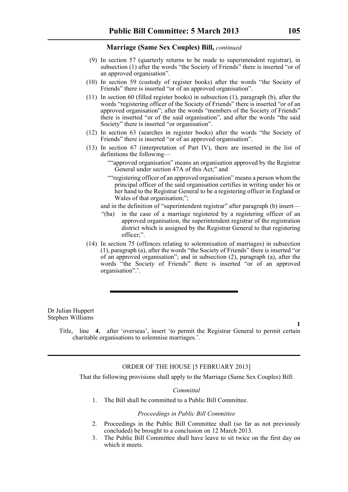- (9) In section 57 (quarterly returns to be made to superintendent registrar), in subsection (1) after the words "the Society of Friends" there is inserted "or of an approved organisation".
- (10) In section 59 (custody of register books) after the words "the Society of Friends" there is inserted "or of an approved organisation".
- (11) In section 60 (filled register books) in subsection (1), paragraph (b), after the words "registering officer of the Society of Friends" there is inserted "or of an approved organisation"; after the words "members of the Society of Friends" there is inserted "or of the said organisation", and after the words "the said Society" there is inserted "or organisation".
- (12) In section 63 (searches in register books) after the words "the Society of Friends" there is inserted "or of an approved organisation".
- (13) In section 67 (interpretation of Part IV), there are inserted in the list of definitions the following—
	- ""approved organisation" means an organisation approved by the Registrar General under section 47A of this Act;" and
	- ""registering officer of an approved organisation" means a person whom the principal officer of the said organisation certifies in writing under his or her hand to the Registrar General to be a registering officer in England or Wales of that organisation;";
	- and in the definition of "superintendent registrar" after paragraph (b) insert—
	- "(ba) in the case of a marriage registered by a registering officer of an approved organisation, the superintendent registrar of the registration district which is assigned by the Registrar General to that registering officer;".
- (14) In section 75 (offences relating to solemnisation of marriages) in subsection (1), paragraph (a), after the words "the Society of Friends" there is inserted "or of an approved organisation"; and in subsection (2), paragraph (a), after the words "the Society of Friends" there is inserted "or of an approved organisation".'.

Dr Julian Huppert Stephen Williams

> Title, line **4**, after 'overseas', insert 'to permit the Registrar General to permit certain charitable organisations to solemnise marriages.'.

# ORDER OF THE HOUSE [5 FEBRUARY 2013]

That the following provisions shall apply to the Marriage (Same Sex Couples) Bill:

# *Committal*

1. The Bill shall be committed to a Public Bill Committee.

# *Proceedings in Public Bill Committee*

- 2. Proceedings in the Public Bill Committee shall (so far as not previously concluded) be brought to a conclusion on 12 March 2013.
- 3. The Public Bill Committee shall have leave to sit twice on the first day on which it meets.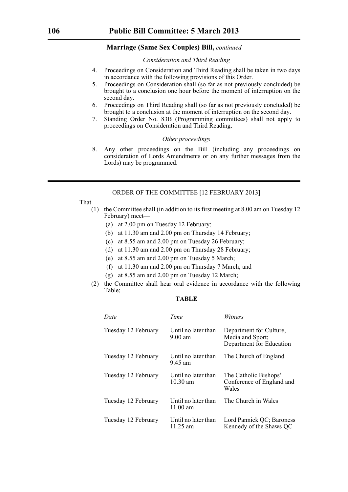## *Consideration and Third Reading*

- 4. Proceedings on Consideration and Third Reading shall be taken in two days in accordance with the following provisions of this Order.
- 5. Proceedings on Consideration shall (so far as not previously concluded) be brought to a conclusion one hour before the moment of interruption on the second day.
- 6. Proceedings on Third Reading shall (so far as not previously concluded) be brought to a conclusion at the moment of interruption on the second day.
- 7. Standing Order No. 83B (Programming committees) shall not apply to proceedings on Consideration and Third Reading.

# *Other proceedings*

8. Any other proceedings on the Bill (including any proceedings on consideration of Lords Amendments or on any further messages from the Lords) may be programmed.

# ORDER OF THE COMMITTEE [12 FEBRUARY 2013]

That—

- (1) the Committee shall (in addition to its first meeting at 8.00 am on Tuesday 12 February) meet—
	- (a) at 2.00 pm on Tuesday 12 February;
	- (b) at 11.30 am and 2.00 pm on Thursday 14 February;
	- (c) at 8.55 am and 2.00 pm on Tuesday 26 February;
	- (d) at 11.30 am and 2.00 pm on Thursday 28 February;
	- (e) at 8.55 am and 2.00 pm on Tuesday 5 March;
	- (f) at 11.30 am and 2.00 pm on Thursday 7 March; and
	- (g) at 8.55 am and 2.00 pm on Tuesday 12 March;
- (2) the Committee shall hear oral evidence in accordance with the following Table;

# **TABLE**

| Date                | Time                                      | Witness                                                                 |
|---------------------|-------------------------------------------|-------------------------------------------------------------------------|
| Tuesday 12 February | Until no later than<br>$9.00$ am          | Department for Culture,<br>Media and Sport;<br>Department for Education |
| Tuesday 12 February | Until no later than<br>9.45 am            | The Church of England                                                   |
| Tuesday 12 February | Until no later than<br>$10.30 \text{ am}$ | The Catholic Bishops'<br>Conference of England and<br>Wales             |
| Tuesday 12 February | Until no later than<br>11.00 $\mu$ m      | The Church in Wales                                                     |
| Tuesday 12 February | Until no later than<br>11.25 am           | Lord Pannick QC; Baroness<br>Kennedy of the Shaws QC                    |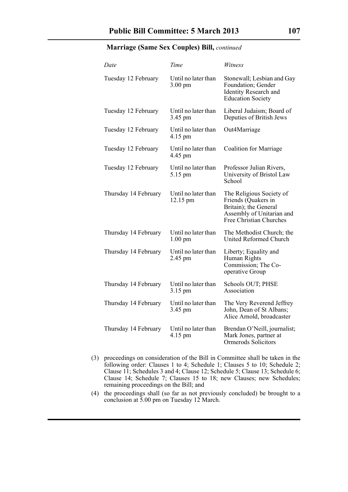| Date                 | Time                                     | Witness                                                                                                                          |
|----------------------|------------------------------------------|----------------------------------------------------------------------------------------------------------------------------------|
| Tuesday 12 February  | Until no later than<br>$3.00 \text{ pm}$ | Stonewall; Lesbian and Gay<br>Foundation; Gender<br><b>Identity Research and</b><br><b>Education Society</b>                     |
| Tuesday 12 February  | Until no later than<br>3.45 pm           | Liberal Judaism; Board of<br>Deputies of British Jews                                                                            |
| Tuesday 12 February  | Until no later than<br>4.15 pm           | Out4Marriage                                                                                                                     |
| Tuesday 12 February  | Until no later than<br>4.45 pm           | <b>Coalition for Marriage</b>                                                                                                    |
| Tuesday 12 February  | Until no later than<br>5.15 pm           | Professor Julian Rivers,<br>University of Bristol Law<br>School                                                                  |
| Thursday 14 February | Until no later than<br>12.15 pm          | The Religious Society of<br>Friends (Quakers in<br>Britain); the General<br>Assembly of Unitarian and<br>Free Christian Churches |
| Thursday 14 February | Until no later than<br>$1.00 \text{ pm}$ | The Methodist Church; the<br>United Reformed Church                                                                              |
| Thursday 14 February | Until no later than<br>2.45 pm           | Liberty; Equality and<br>Human Rights<br>Commission; The Co-<br>operative Group                                                  |
| Thursday 14 February | Until no later than<br>3.15 pm           | Schools OUT; PHSE<br>Association                                                                                                 |
| Thursday 14 February | Until no later than<br>3.45 pm           | The Very Reverend Jeffrey<br>John, Dean of St Albans;<br>Alice Arnold, broadcaster                                               |
| Thursday 14 February | Until no later than<br>4.15 pm           | Brendan O'Neill, journalist;<br>Mark Jones, partner at<br><b>Ormerods Solicitors</b>                                             |

- (3) proceedings on consideration of the Bill in Committee shall be taken in the following order: Clauses 1 to 4; Schedule 1; Clauses 5 to 10; Schedule 2; Clause 11; Schedules 3 and 4; Clause 12; Schedule 5; Clause 13; Schedule 6; Clause 14; Schedule 7; Clauses 15 to 18; new Clauses; new Schedules; remaining proceedings on the Bill; and
- (4) the proceedings shall (so far as not previously concluded) be brought to a conclusion at 5.00 pm on Tuesday 12 March.